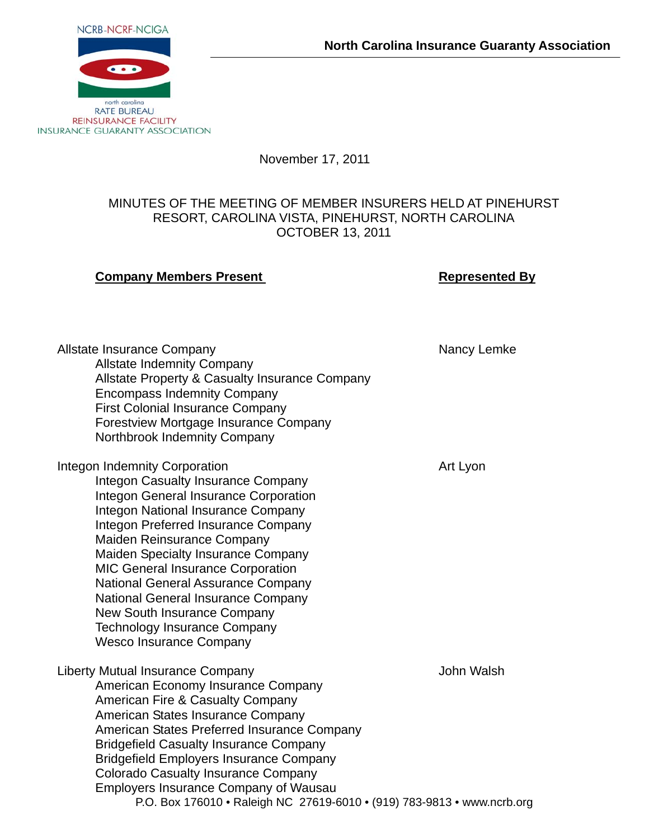

November 17, 2011

## MINUTES OF THE MEETING OF MEMBER INSURERS HELD AT PINEHURST RESORT, CAROLINA VISTA, PINEHURST, NORTH CAROLINA OCTOBER 13, 2011

## **Company Members Present Company Accompany Accompany Accompany Accompany Accompany Accompany Accompany Accompany**

P.O. Box 176010 • Raleigh NC 27619-6010 • (919) 783-9813 • www.ncrb.org Allstate Insurance Company Nancy Lemke Nancy Lemke Allstate Indemnity Company Allstate Property & Casualty Insurance Company Encompass Indemnity Company First Colonial Insurance Company Forestview Mortgage Insurance Company Northbrook Indemnity Company Integon Indemnity Corporation and a series of the Art Lyon Integon Casualty Insurance Company Integon General Insurance Corporation Integon National Insurance Company Integon Preferred Insurance Company Maiden Reinsurance Company Maiden Specialty Insurance Company MIC General Insurance Corporation National General Assurance Company National General Insurance Company New South Insurance Company Technology Insurance Company Wesco Insurance Company Liberty Mutual Insurance Company **Mutual Insurance Company** John Walsh American Economy Insurance Company American Fire & Casualty Company American States Insurance Company American States Preferred Insurance Company Bridgefield Casualty Insurance Company Bridgefield Employers Insurance Company Colorado Casualty Insurance Company Employers Insurance Company of Wausau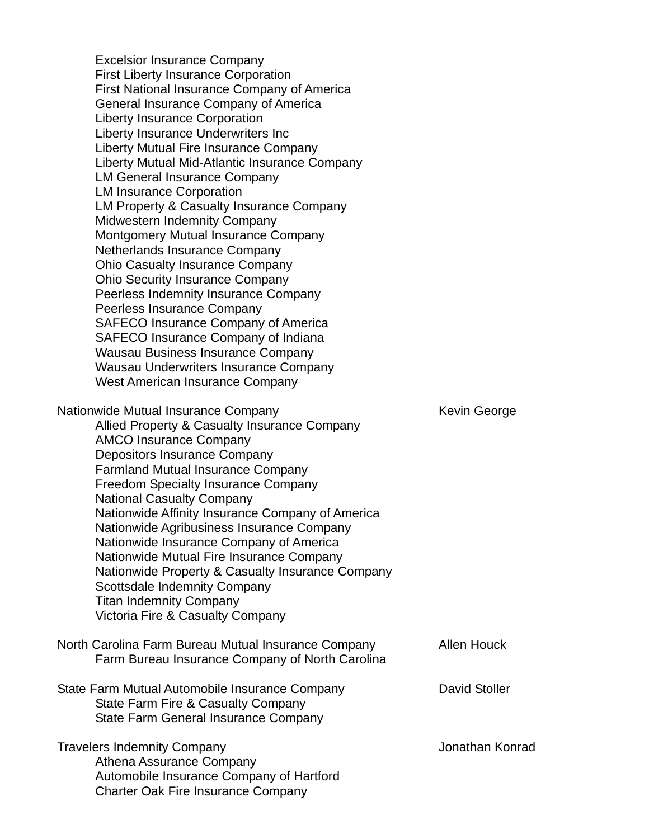Excelsior Insurance Company First Liberty Insurance Corporation First National Insurance Company of America General Insurance Company of America Liberty Insurance Corporation Liberty Insurance Underwriters Inc Liberty Mutual Fire Insurance Company Liberty Mutual Mid-Atlantic Insurance Company LM General Insurance Company LM Insurance Corporation LM Property & Casualty Insurance Company Midwestern Indemnity Company Montgomery Mutual Insurance Company Netherlands Insurance Company Ohio Casualty Insurance Company Ohio Security Insurance Company Peerless Indemnity Insurance Company Peerless Insurance Company SAFECO Insurance Company of America SAFECO Insurance Company of Indiana Wausau Business Insurance Company Wausau Underwriters Insurance Company West American Insurance Company Nationwide Mutual Insurance Company Mation Mutual Insurance Company Allied Property & Casualty Insurance Company AMCO Insurance Company Depositors Insurance Company Farmland Mutual Insurance Company Freedom Specialty Insurance Company National Casualty Company Nationwide Affinity Insurance Company of America Nationwide Agribusiness Insurance Company Nationwide Insurance Company of America Nationwide Mutual Fire Insurance Company Nationwide Property & Casualty Insurance Company Scottsdale Indemnity Company Titan Indemnity Company Victoria Fire & Casualty Company North Carolina Farm Bureau Mutual Insurance Company Allen Houck Farm Bureau Insurance Company of North Carolina State Farm Mutual Automobile Insurance Company **David Stoller** State Farm Fire & Casualty Company State Farm General Insurance Company Travelers Indemnity Company Jonathan Konrad Athena Assurance Company Automobile Insurance Company of Hartford Charter Oak Fire Insurance Company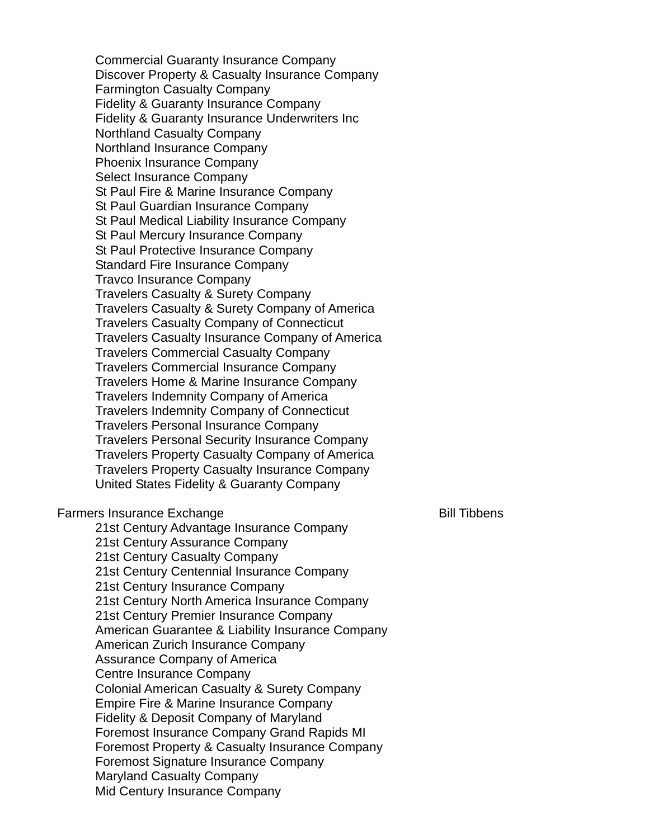Commercial Guaranty Insurance Company Discover Property & Casualty Insurance Company Farmington Casualty Company Fidelity & Guaranty Insurance Company Fidelity & Guaranty Insurance Underwriters Inc Northland Casualty Company Northland Insurance Company Phoenix Insurance Company Select Insurance Company St Paul Fire & Marine Insurance Company St Paul Guardian Insurance Company St Paul Medical Liability Insurance Company St Paul Mercury Insurance Company St Paul Protective Insurance Company Standard Fire Insurance Company Travco Insurance Company Travelers Casualty & Surety Company Travelers Casualty & Surety Company of America Travelers Casualty Company of Connecticut Travelers Casualty Insurance Company of America Travelers Commercial Casualty Company Travelers Commercial Insurance Company Travelers Home & Marine Insurance Company Travelers Indemnity Company of America Travelers Indemnity Company of Connecticut Travelers Personal Insurance Company Travelers Personal Security Insurance Company Travelers Property Casualty Company of America Travelers Property Casualty Insurance Company United States Fidelity & Guaranty Company Farmers Insurance Exchange **Bill Tibbens** Bill Tibbens 21st Century Advantage Insurance Company

21st Century Assurance Company 21st Century Casualty Company 21st Century Centennial Insurance Company 21st Century Insurance Company 21st Century North America Insurance Company 21st Century Premier Insurance Company American Guarantee & Liability Insurance Company American Zurich Insurance Company Assurance Company of America Centre Insurance Company Colonial American Casualty & Surety Company Empire Fire & Marine Insurance Company Fidelity & Deposit Company of Maryland Foremost Insurance Company Grand Rapids MI Foremost Property & Casualty Insurance Company Foremost Signature Insurance Company Maryland Casualty Company Mid Century Insurance Company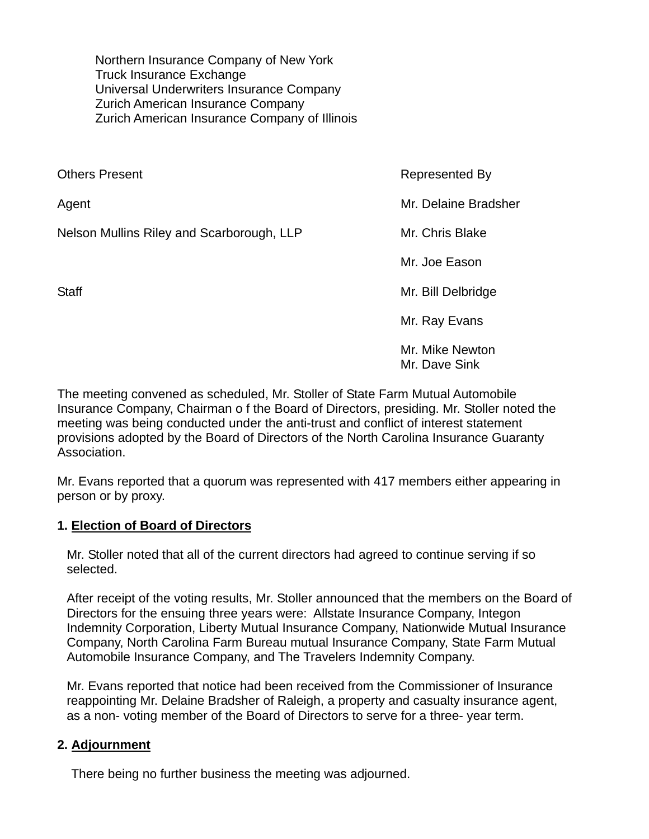Northern Insurance Company of New York Truck Insurance Exchange Universal Underwriters Insurance Company Zurich American Insurance Company Zurich American Insurance Company of Illinois

| <b>Others Present</b>                     | Represented By       |
|-------------------------------------------|----------------------|
| Agent                                     | Mr. Delaine Bradsher |
| Nelson Mullins Riley and Scarborough, LLP | Mr. Chris Blake      |
|                                           | Mr. Joe Eason        |
| <b>Staff</b>                              | Mr. Bill Delbridge   |
|                                           | Mr. Ray Evans        |
|                                           | Mr. Mike Newton      |

The meeting convened as scheduled, Mr. Stoller of State Farm Mutual Automobile Insurance Company, Chairman o f the Board of Directors, presiding. Mr. Stoller noted the meeting was being conducted under the anti-trust and conflict of interest statement provisions adopted by the Board of Directors of the North Carolina Insurance Guaranty Association.

Mr. Dave Sink

Mr. Evans reported that a quorum was represented with 417 members either appearing in person or by proxy.

## **1. Election of Board of Directors**

Mr. Stoller noted that all of the current directors had agreed to continue serving if so selected.

After receipt of the voting results, Mr. Stoller announced that the members on the Board of Directors for the ensuing three years were: Allstate Insurance Company, Integon Indemnity Corporation, Liberty Mutual Insurance Company, Nationwide Mutual Insurance Company, North Carolina Farm Bureau mutual Insurance Company, State Farm Mutual Automobile Insurance Company, and The Travelers Indemnity Company.

Mr. Evans reported that notice had been received from the Commissioner of Insurance reappointing Mr. Delaine Bradsher of Raleigh, a property and casualty insurance agent, as a non- voting member of the Board of Directors to serve for a three- year term.

## **2. Adjournment**

There being no further business the meeting was adjourned.